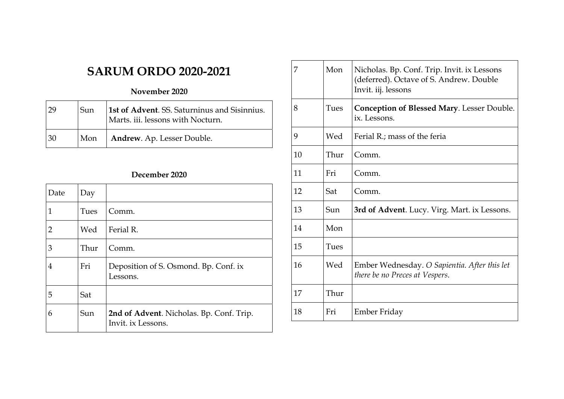# **SARUM ORDO 2020-2021**

### **November 2020**

|    | Sun | 1st of Advent. SS. Saturninus and Sisinnius.<br>Marts. iii. lessons with Nocturn. |
|----|-----|-----------------------------------------------------------------------------------|
| 30 | Mon | Andrew. Ap. Lesser Double.                                                        |

### **December 2020**

| Date           | Day  |                                                                |
|----------------|------|----------------------------------------------------------------|
| 1              | Tues | Comm.                                                          |
| $\overline{2}$ | Wed  | Ferial R.                                                      |
| 3              | Thur | Comm.                                                          |
| 4              | Fri  | Deposition of S. Osmond. Bp. Conf. ix<br>Lessons.              |
| 5              | Sat  |                                                                |
| 6              | Sun  | 2nd of Advent. Nicholas. Bp. Conf. Trip.<br>Invit. ix Lessons. |

| 7  | Mon  | Nicholas. Bp. Conf. Trip. Invit. ix Lessons<br>(deferred). Octave of S. Andrew. Double<br>Invit. iij. lessons |
|----|------|---------------------------------------------------------------------------------------------------------------|
| 8  | Tues | <b>Conception of Blessed Mary.</b> Lesser Double.<br>ix. Lessons.                                             |
| 9  | Wed  | Ferial R.; mass of the feria                                                                                  |
| 10 | Thur | Comm.                                                                                                         |
| 11 | Fri  | Comm.                                                                                                         |
| 12 | Sat  | Comm.                                                                                                         |
| 13 | Sun  | 3rd of Advent. Lucy. Virg. Mart. ix Lessons.                                                                  |
| 14 | Mon  |                                                                                                               |
| 15 | Tues |                                                                                                               |
| 16 | Wed  | Ember Wednesday. O Sapientia. After this let<br>there be no Preces at Vespers.                                |
| 17 | Thur |                                                                                                               |
| 18 | Fri  | Ember Friday                                                                                                  |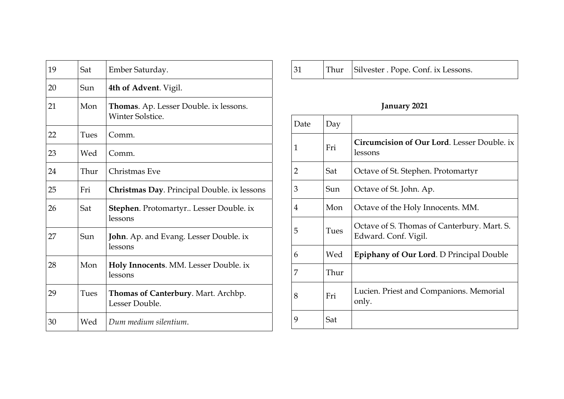| 19 | Sat  | Ember Saturday.                                                          |
|----|------|--------------------------------------------------------------------------|
| 20 | Sun  | 4th of Advent. Vigil.                                                    |
| 21 | Mon  | <b>Thomas.</b> Ap. Lesser Double. ix lessons.<br><b>Winter Solstice.</b> |
| 22 | Tues | Comm.                                                                    |
| 23 | Wed  | Comm.                                                                    |
| 24 | Thur | Christmas Eve                                                            |
| 25 | Fri  | <b>Christmas Day. Principal Double. ix lessons</b>                       |
| 26 | Sat  | <b>Stephen.</b> Protomartyr Lesser Double. ix<br>lessons                 |
| 27 | Sun  | <b>John.</b> Ap. and Evang. Lesser Double. ix<br>lessons                 |
| 28 | Mon  | Holy Innocents. MM. Lesser Double. ix<br>lessons                         |
| 29 | Tues | Thomas of Canterbury. Mart. Archbp.<br>Lesser Double.                    |
| 30 | Wed  | Dum medium silentium.                                                    |

| Thur Silvester . Pope. Conf. ix Lessons.<br>31 |  |
|------------------------------------------------|--|
|------------------------------------------------|--|

## **January 2021**

| Date | Day  |                                                                     |
|------|------|---------------------------------------------------------------------|
| 1    | Fri  | <b>Circumcision of Our Lord.</b> Lesser Double. ix<br>lessons       |
| 2    | Sat  | Octave of St. Stephen. Protomartyr                                  |
| 3    | Sun  | Octave of St. John. Ap.                                             |
| 4    | Mon  | Octave of the Holy Innocents. MM.                                   |
| 5    | Tues | Octave of S. Thomas of Canterbury. Mart. S.<br>Edward. Conf. Vigil. |
| 6    | Wed  | <b>Epiphany of Our Lord.</b> D Principal Double                     |
| 7    | Thur |                                                                     |
| 8    | Fri  | Lucien. Priest and Companions. Memorial<br>only.                    |
| 9    | Sat  |                                                                     |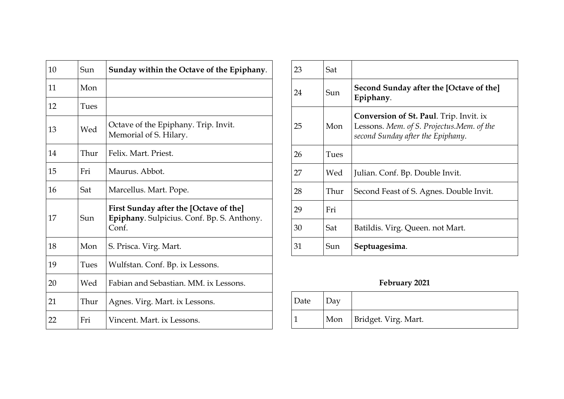| 10 | Sun  | Sunday within the Octave of the Epiphany.                                                     |
|----|------|-----------------------------------------------------------------------------------------------|
| 11 | Mon  |                                                                                               |
| 12 | Tues |                                                                                               |
| 13 | Wed  | Octave of the Epiphany. Trip. Invit.<br>Memorial of S. Hilary.                                |
| 14 | Thur | Felix. Mart. Priest.                                                                          |
| 15 | Fri  | Maurus. Abbot.                                                                                |
| 16 | Sat  | Marcellus. Mart. Pope.                                                                        |
| 17 | Sun  | First Sunday after the [Octave of the]<br>Epiphany. Sulpicius. Conf. Bp. S. Anthony.<br>Conf. |
| 18 | Mon  | S. Prisca. Virg. Mart.                                                                        |
| 19 | Tues | Wulfstan. Conf. Bp. ix Lessons.                                                               |
| 20 | Wed  | Fabian and Sebastian, MM, ix Lessons.                                                         |
| 21 | Thur | Agnes. Virg. Mart. ix Lessons.                                                                |
| 22 | Fri  | Vincent. Mart. ix Lessons.                                                                    |

| 23 | Sat  |                                                                                                                                  |
|----|------|----------------------------------------------------------------------------------------------------------------------------------|
| 24 | Sun  | Second Sunday after the [Octave of the]<br>Epiphany.                                                                             |
| 25 | Mon  | <b>Conversion of St. Paul.</b> Trip. Invit. ix<br>Lessons. Mem. of S. Projectus.Mem. of the<br>second Sunday after the Epiphany. |
| 26 | Tues |                                                                                                                                  |
| 27 | Wed  | Julian. Conf. Bp. Double Invit.                                                                                                  |
| 28 | Thur | Second Feast of S. Agnes. Double Invit.                                                                                          |
| 29 | Fri  |                                                                                                                                  |
| 30 | Sat  | Batildis. Virg. Queen. not Mart.                                                                                                 |
| 31 | Sun  | Septuagesima.                                                                                                                    |

## **February 2021**

| Date | Dav |                          |
|------|-----|--------------------------|
|      |     | Mon Bridget. Virg. Mart. |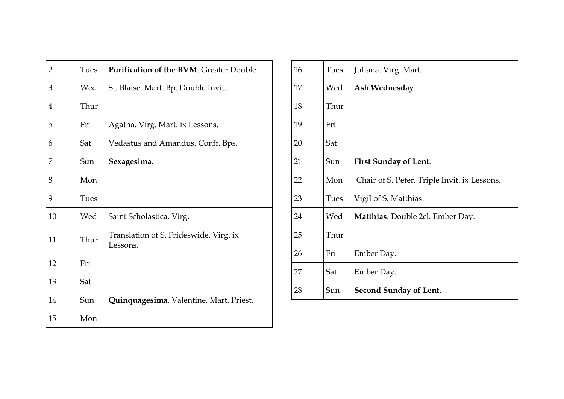| 2  | Tues | <b>Purification of the BVM. Greater Double</b>     |
|----|------|----------------------------------------------------|
| 3  | Wed  | St. Blaise. Mart. Bp. Double Invit.                |
| 4  | Thur |                                                    |
| 5  | Fri  | Agatha. Virg. Mart. ix Lessons.                    |
| 6  | Sat  | Vedastus and Amandus. Conff. Bps.                  |
| 7  | Sun  | Sexagesima.                                        |
| 8  | Mon  |                                                    |
| 9  | Tues |                                                    |
| 10 | Wed  | Saint Scholastica. Virg.                           |
| 11 | Thur | Translation of S. Frideswide. Virg. ix<br>Lessons. |
| 12 | Fri  |                                                    |
| 13 | Sat  |                                                    |
| 14 | Sun  | Quinquagesima. Valentine. Mart. Priest.            |
| 15 | Mon  |                                                    |

| 16 | Tues | Juliana. Virg. Mart.                         |
|----|------|----------------------------------------------|
| 17 | Wed  | Ash Wednesday.                               |
| 18 | Thur |                                              |
| 19 | Fri  |                                              |
| 20 | Sat  |                                              |
| 21 | Sun  | <b>First Sunday of Lent.</b>                 |
| 22 | Mon  | Chair of S. Peter. Triple Invit. ix Lessons. |
| 23 | Tues | Vigil of S. Matthias.                        |
| 24 | Wed  | Matthias. Double 2cl. Ember Day.             |
| 25 | Thur |                                              |
| 26 | Fri  | Ember Day.                                   |
| 27 | Sat  | Ember Day.                                   |
| 28 | Sun  | <b>Second Sunday of Lent.</b>                |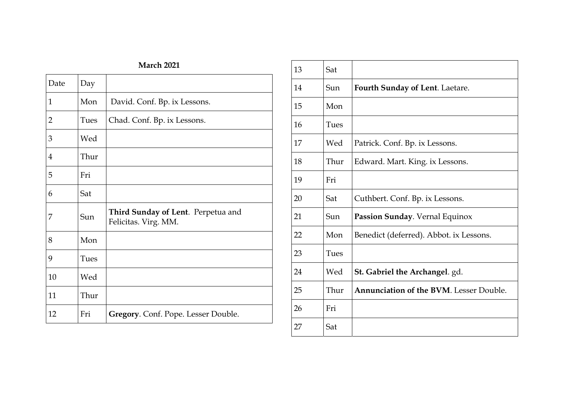| <b>March 2021</b> |      |                                                            |  |
|-------------------|------|------------------------------------------------------------|--|
| Date              | Day  |                                                            |  |
| 1                 | Mon  | David. Conf. Bp. ix Lessons.                               |  |
| $\overline{2}$    | Tues | Chad. Conf. Bp. ix Lessons.                                |  |
| 3                 | Wed  |                                                            |  |
| $\overline{4}$    | Thur |                                                            |  |
| 5                 | Fri  |                                                            |  |
| 6                 | Sat  |                                                            |  |
| 7                 | Sun  | Third Sunday of Lent. Perpetua and<br>Felicitas. Virg. MM. |  |
| 8                 | Mon  |                                                            |  |
| 9                 | Tues |                                                            |  |
| 10                | Wed  |                                                            |  |
| 11                | Thur |                                                            |  |
| 12                | Fri  | Gregory. Conf. Pope. Lesser Double.                        |  |

| 13 | Sat  |                                                |
|----|------|------------------------------------------------|
| 14 | Sun  | <b>Fourth Sunday of Lent. Laetare.</b>         |
| 15 | Mon  |                                                |
| 16 | Tues |                                                |
| 17 | Wed  | Patrick. Conf. Bp. ix Lessons.                 |
| 18 | Thur | Edward. Mart. King. ix Lessons.                |
| 19 | Fri  |                                                |
| 20 | Sat  | Cuthbert. Conf. Bp. ix Lessons.                |
| 21 | Sun  | Passion Sunday. Vernal Equinox                 |
| 22 | Mon  | Benedict (deferred). Abbot. ix Lessons.        |
| 23 | Tues |                                                |
| 24 | Wed  | <b>St. Gabriel the Archangel</b> . gd.         |
| 25 | Thur | <b>Annunciation of the BVM.</b> Lesser Double. |
| 26 | Fri  |                                                |
| 27 | Sat  |                                                |
|    |      |                                                |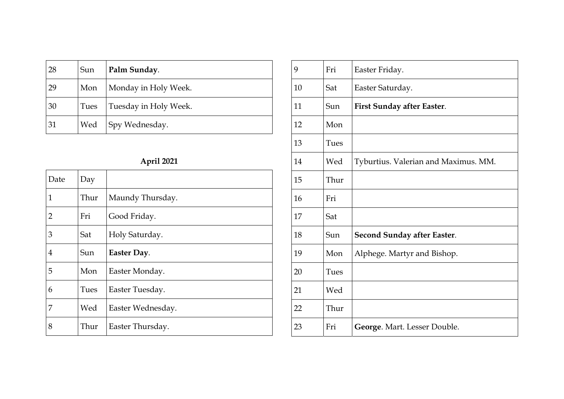| 28 | Sun  | Palm Sunday.          |
|----|------|-----------------------|
| 29 | Mon  | Monday in Holy Week.  |
| 30 | Tues | Tuesday in Holy Week. |
| 31 | Wed  | Spy Wednesday.        |

## **April 2021**

| Date           | Day  |                   |
|----------------|------|-------------------|
| $\mathbf{1}$   | Thur | Maundy Thursday.  |
| 2              | Fri  | Good Friday.      |
| 3              | Sat  | Holy Saturday.    |
| $\overline{4}$ | Sun  | Easter Day.       |
| 5              | Mon  | Easter Monday.    |
| 6              | Tues | Easter Tuesday.   |
| 7              | Wed  | Easter Wednesday. |
| 8              | Thur | Easter Thursday.  |

| 9  | Fri  | Easter Friday.                       |
|----|------|--------------------------------------|
| 10 | Sat  | Easter Saturday.                     |
| 11 | Sun  | First Sunday after Easter.           |
| 12 | Mon  |                                      |
| 13 | Tues |                                      |
| 14 | Wed  | Tyburtius. Valerian and Maximus. MM. |
| 15 | Thur |                                      |
| 16 | Fri  |                                      |
| 17 | Sat  |                                      |
| 18 | Sun  | <b>Second Sunday after Easter.</b>   |
| 19 | Mon  | Alphege. Martyr and Bishop.          |
| 20 | Tues |                                      |
| 21 | Wed  |                                      |
| 22 | Thur |                                      |
| 23 | Fri  | George. Mart. Lesser Double.         |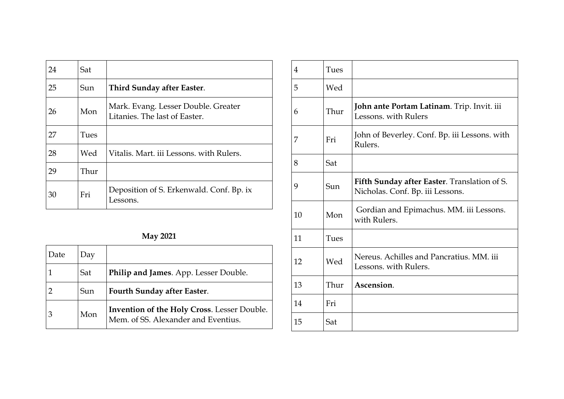| 24 | Sat  |                                                                      |
|----|------|----------------------------------------------------------------------|
| 25 | Sun  | Third Sunday after Easter.                                           |
| 26 | Mon  | Mark. Evang. Lesser Double. Greater<br>Litanies. The last of Easter. |
| 27 | Tues |                                                                      |
| 28 | Wed  | Vitalis. Mart. iii Lessons. with Rulers.                             |
| 29 | Thur |                                                                      |
| 30 | Fri  | Deposition of S. Erkenwald. Conf. Bp. ix<br>Lessons.                 |

### **May 2021**

| Date | Day |                                                                                           |
|------|-----|-------------------------------------------------------------------------------------------|
|      | Sat | Philip and James. App. Lesser Double.                                                     |
|      | Sun | Fourth Sunday after Easter.                                                               |
| 3    | Mon | <b>Invention of the Holy Cross. Lesser Double.</b><br>Mem. of SS. Alexander and Eventius. |

| 4  | Tues |                                                                                  |
|----|------|----------------------------------------------------------------------------------|
| 5  | Wed  |                                                                                  |
| 6  | Thur | John ante Portam Latinam. Trip. Invit. iii<br>Lessons, with Rulers               |
| 7  | Fri  | John of Beverley. Conf. Bp. iii Lessons. with<br>Rulers.                         |
| 8  | Sat  |                                                                                  |
| 9  | Sun  | Fifth Sunday after Easter. Translation of S.<br>Nicholas. Conf. Bp. iii Lessons. |
| 10 | Mon  | Gordian and Epimachus. MM. iii Lessons.<br>with Rulers.                          |
| 11 | Tues |                                                                                  |
| 12 | Wed  | Nereus. Achilles and Pancratius. MM. iii<br>Lessons, with Rulers.                |
| 13 | Thur | Ascension.                                                                       |
| 14 | Fri  |                                                                                  |
| 15 | Sat  |                                                                                  |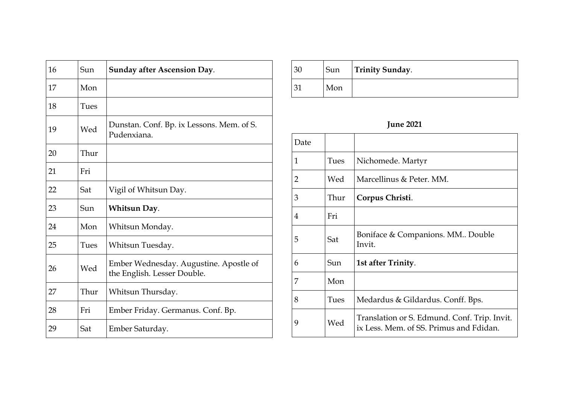| 16 | Sun  | <b>Sunday after Ascension Day.</b>                                    |
|----|------|-----------------------------------------------------------------------|
| 17 | Mon  |                                                                       |
| 18 | Tues |                                                                       |
| 19 | Wed  | Dunstan. Conf. Bp. ix Lessons. Mem. of S.<br>Pudenxiana.              |
| 20 | Thur |                                                                       |
| 21 | Fri  |                                                                       |
| 22 | Sat  | Vigil of Whitsun Day.                                                 |
| 23 | Sun  | Whitsun Day.                                                          |
| 24 | Mon  | Whitsun Monday.                                                       |
| 25 | Tues | Whitsun Tuesday.                                                      |
| 26 | Wed  | Ember Wednesday. Augustine. Apostle of<br>the English. Lesser Double. |
| 27 | Thur | Whitsun Thursday.                                                     |
| 28 | Fri  | Ember Friday. Germanus. Conf. Bp.                                     |
| 29 | Sat  | Ember Saturday.                                                       |

| -31 | Sun | <b>Trinity Sunday.</b> |
|-----|-----|------------------------|
|     | Mon |                        |

## **June 2021**

| Date           |      |                                                                                         |
|----------------|------|-----------------------------------------------------------------------------------------|
| 1              | Tues | Nichomede. Martyr                                                                       |
| $\overline{2}$ | Wed  | Marcellinus & Peter. MM.                                                                |
| 3              | Thur | Corpus Christi.                                                                         |
| 4              | Fri  |                                                                                         |
| 5              | Sat  | Boniface & Companions. MM Double<br>Invit.                                              |
| 6              | Sun  | 1st after Trinity.                                                                      |
| 7              | Mon  |                                                                                         |
| 8              | Tues | Medardus & Gildardus. Conff. Bps.                                                       |
| 9              | Wed  | Translation or S. Edmund. Conf. Trip. Invit.<br>ix Less. Mem. of SS. Primus and Fdidan. |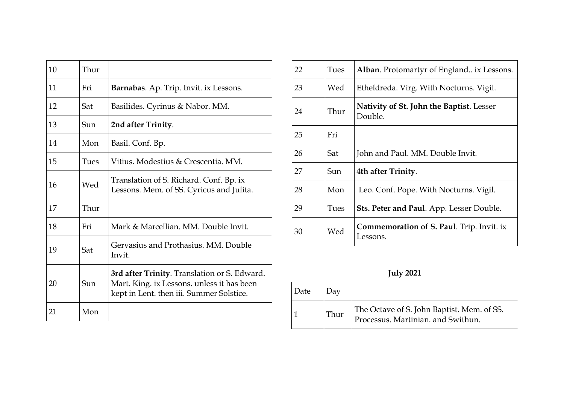| 10 | Thur |                                                                                                                                        |
|----|------|----------------------------------------------------------------------------------------------------------------------------------------|
| 11 | Fri  | Barnabas. Ap. Trip. Invit. ix Lessons.                                                                                                 |
| 12 | Sat  | Basilides. Cyrinus & Nabor. MM.                                                                                                        |
| 13 | Sun  | 2nd after Trinity.                                                                                                                     |
| 14 | Mon  | Basil. Conf. Bp.                                                                                                                       |
| 15 | Tues | Vitius. Modestius & Crescentia. MM.                                                                                                    |
| 16 | Wed  | Translation of S. Richard. Conf. Bp. ix<br>Lessons. Mem. of SS. Cyricus and Julita.                                                    |
| 17 | Thur |                                                                                                                                        |
| 18 | Fri  | Mark & Marcellian. MM. Double Invit.                                                                                                   |
| 19 | Sat  | Gervasius and Prothasius. MM. Double<br>Invit.                                                                                         |
| 20 | Sun  | 3rd after Trinity. Translation or S. Edward.<br>Mart. King. ix Lessons. unless it has been<br>kept in Lent. then iii. Summer Solstice. |
| 21 | Mon  |                                                                                                                                        |

| 22 | Tues | Alban. Protomartyr of England ix Lessons.                    |
|----|------|--------------------------------------------------------------|
| 23 | Wed  | Etheldreda. Virg. With Nocturns. Vigil.                      |
| 24 | Thur | <b>Nativity of St. John the Baptist.</b> Lesser<br>Double.   |
| 25 | Fri  |                                                              |
| 26 | Sat  | John and Paul. MM. Double Invit.                             |
| 27 | Sun  | 4th after Trinity.                                           |
| 28 | Mon  | Leo. Conf. Pope. With Nocturns. Vigil.                       |
| 29 | Tues | Sts. Peter and Paul. App. Lesser Double.                     |
| 30 | Wed  | <b>Commemoration of S. Paul.</b> Trip. Invit. ix<br>Lessons. |

**July 2021** 

| Date |      |                                                                                  |
|------|------|----------------------------------------------------------------------------------|
|      | Thur | The Octave of S. John Baptist. Mem. of SS.<br>Processus. Martinian. and Swithun. |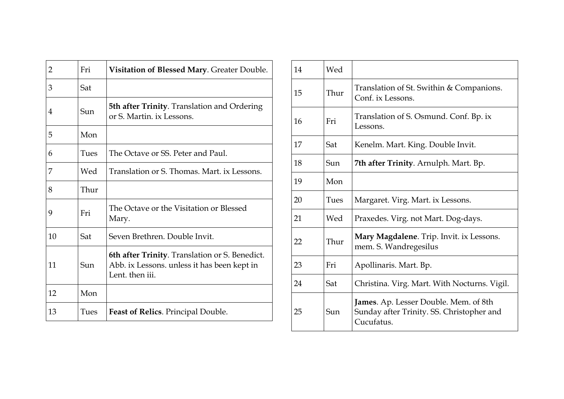| $\overline{2}$ | Fri  | Visitation of Blessed Mary. Greater Double.                                                                      |
|----------------|------|------------------------------------------------------------------------------------------------------------------|
| 3              | Sat  |                                                                                                                  |
| 4              | Sun  | 5th after Trinity. Translation and Ordering<br>or S. Martin, ix Lessons.                                         |
| 5              | Mon  |                                                                                                                  |
| 6              | Tues | The Octave or SS. Peter and Paul.                                                                                |
| 7              | Wed  | Translation or S. Thomas. Mart. ix Lessons.                                                                      |
| 8              | Thur |                                                                                                                  |
| 9              | Fri  | The Octave or the Visitation or Blessed<br>Mary.                                                                 |
| 10             | Sat  | Seven Brethren. Double Invit.                                                                                    |
| 11             | Sun  | 6th after Trinity. Translation or S. Benedict.<br>Abb. ix Lessons. unless it has been kept in<br>Lent. then iii. |
| 12             | Mon  |                                                                                                                  |
| 13             | Tues | <b>Feast of Relics.</b> Principal Double.                                                                        |

| 14 | Wed  |                                                                                                         |
|----|------|---------------------------------------------------------------------------------------------------------|
| 15 | Thur | Translation of St. Swithin & Companions.<br>Conf. ix Lessons.                                           |
| 16 | Fri  | Translation of S. Osmund. Conf. Bp. ix<br>Lessons.                                                      |
| 17 | Sat  | Kenelm. Mart. King. Double Invit.                                                                       |
| 18 | Sun  | 7th after Trinity. Arnulph. Mart. Bp.                                                                   |
| 19 | Mon  |                                                                                                         |
| 20 | Tues | Margaret. Virg. Mart. ix Lessons.                                                                       |
| 21 | Wed  | Praxedes. Virg. not Mart. Dog-days.                                                                     |
| 22 | Thur | Mary Magdalene. Trip. Invit. ix Lessons.<br>mem. S. Wandregesilus                                       |
| 23 | Fri  | Apollinaris. Mart. Bp.                                                                                  |
| 24 | Sat  | Christina. Virg. Mart. With Nocturns. Vigil.                                                            |
| 25 | Sun  | <b>James.</b> Ap. Lesser Double. Mem. of 8th<br>Sunday after Trinity. SS. Christopher and<br>Cucufatus. |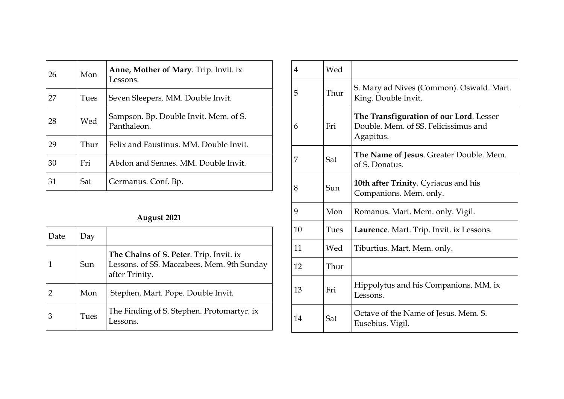| 26 | Mon  | Anne, Mother of Mary. Trip. Invit. ix<br>Lessons.    |
|----|------|------------------------------------------------------|
| 27 | Tues | Seven Sleepers. MM. Double Invit.                    |
| 28 | Wed  | Sampson. Bp. Double Invit. Mem. of S.<br>Panthaleon. |
| 29 | Thur | Felix and Faustinus. MM. Double Invit.               |
| 30 | Fri  | Abdon and Sennes, MM. Double Invit.                  |
| 31 | Sat  | Germanus. Conf. Bp.                                  |

### **August 2021**

| Date | Day  |                                                                                                         |
|------|------|---------------------------------------------------------------------------------------------------------|
|      | Sun  | The Chains of S. Peter. Trip. Invit. ix<br>Lessons. of SS. Maccabees. Mem. 9th Sunday<br>after Trinity. |
|      | Mon  | Stephen. Mart. Pope. Double Invit.                                                                      |
|      | Tues | The Finding of S. Stephen. Protomartyr. ix<br>essons.                                                   |

| 4  | Wed  |                                                                                              |
|----|------|----------------------------------------------------------------------------------------------|
| 5  | Thur | S. Mary ad Nives (Common). Oswald. Mart.<br>King. Double Invit.                              |
| 6  | Fri  | The Transfiguration of our Lord. Lesser<br>Double. Mem. of SS. Felicissimus and<br>Agapitus. |
| 7  | Sat  | The Name of Jesus. Greater Double. Mem.<br>of S. Donatus.                                    |
| 8  | Sun  | <b>10th after Trinity.</b> Cyriacus and his<br>Companions. Mem. only.                        |
| 9  | Mon  | Romanus. Mart. Mem. only. Vigil.                                                             |
| 10 | Tues | Laurence. Mart. Trip. Invit. ix Lessons.                                                     |
| 11 | Wed  | Tiburtius. Mart. Mem. only.                                                                  |
| 12 | Thur |                                                                                              |
| 13 | Fri  | Hippolytus and his Companions. MM. ix<br>Lessons.                                            |
| 14 | Sat  | Octave of the Name of Jesus. Mem. S.<br>Eusebius. Vigil.                                     |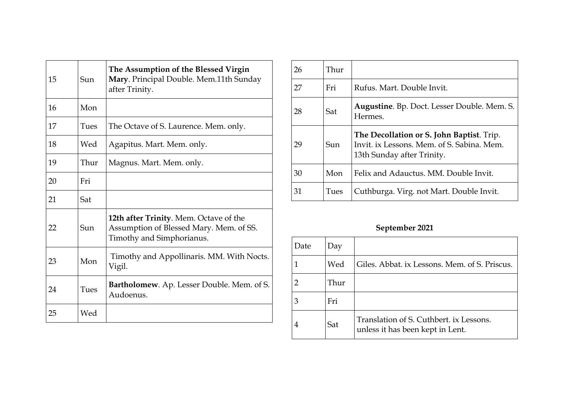| 15 | Sun  | The Assumption of the Blessed Virgin<br>Mary. Principal Double. Mem.11th Sunday<br>after Trinity.                     |
|----|------|-----------------------------------------------------------------------------------------------------------------------|
| 16 | Mon  |                                                                                                                       |
| 17 | Tues | The Octave of S. Laurence. Mem. only.                                                                                 |
| 18 | Wed  | Agapitus. Mart. Mem. only.                                                                                            |
| 19 | Thur | Magnus. Mart. Mem. only.                                                                                              |
| 20 | Fri  |                                                                                                                       |
| 21 | Sat  |                                                                                                                       |
| 22 | Sun  | <b>12th after Trinity.</b> Mem. Octave of the<br>Assumption of Blessed Mary. Mem. of SS.<br>Timothy and Simphorianus. |
| 23 | Mon  | Timothy and Appollinaris. MM. With Nocts.<br>Vigil.                                                                   |
| 24 | Tues | Bartholomew. Ap. Lesser Double. Mem. of S.<br>Audoenus.                                                               |
| 25 | Wed  |                                                                                                                       |

| 26 | Thur |                                                                                                                       |
|----|------|-----------------------------------------------------------------------------------------------------------------------|
| 27 | Fri  | Rufus. Mart. Double Invit.                                                                                            |
| 28 | Sat  | <b>Augustine.</b> Bp. Doct. Lesser Double. Mem. S.<br>Hermes.                                                         |
| 29 | Sun  | The Decollation or S. John Baptist. Trip.<br>Invit. ix Lessons. Mem. of S. Sabina. Mem.<br>13th Sunday after Trinity. |
| 30 | Mon  | Felix and Adauctus. MM. Double Invit.                                                                                 |
| 31 | Tues | Cuthburga. Virg. not Mart. Double Invit.                                                                              |

## **September 2021**

| Date | Day  |                                                                             |
|------|------|-----------------------------------------------------------------------------|
|      | Wed  | Giles. Abbat. ix Lessons. Mem. of S. Priscus.                               |
|      | Thur |                                                                             |
| З    | Fri  |                                                                             |
| 4    | Sat  | Translation of S. Cuthbert. ix Lessons.<br>unless it has been kept in Lent. |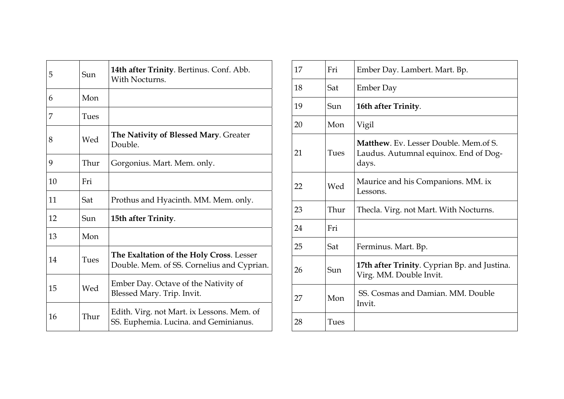| 5  | Sun  | <b>14th after Trinity</b> . Bertinus. Conf. Abb.<br>With Nocturns.                     |
|----|------|----------------------------------------------------------------------------------------|
| 6  | Mon  |                                                                                        |
| 7  | Tues |                                                                                        |
| 8  | Wed  | The Nativity of Blessed Mary. Greater<br>Double.                                       |
| 9  | Thur | Gorgonius. Mart. Mem. only.                                                            |
| 10 | Fri  |                                                                                        |
| 11 | Sat  | Prothus and Hyacinth. MM. Mem. only.                                                   |
| 12 | Sun  | 15th after Trinity.                                                                    |
| 13 | Mon  |                                                                                        |
| 14 | Tues | The Exaltation of the Holy Cross. Lesser<br>Double. Mem. of SS. Cornelius and Cyprian. |
| 15 | Wed  | Ember Day. Octave of the Nativity of<br>Blessed Mary. Trip. Invit.                     |
| 16 | Thur | Edith. Virg. not Mart. ix Lessons. Mem. of<br>SS. Euphemia. Lucina. and Geminianus.    |

| 17 | Fri  | Ember Day. Lambert. Mart. Bp.                                                                  |
|----|------|------------------------------------------------------------------------------------------------|
| 18 | Sat  | <b>Ember Day</b>                                                                               |
| 19 | Sun  | 16th after Trinity.                                                                            |
| 20 | Mon  | Vigil                                                                                          |
| 21 | Tues | <b>Matthew.</b> Ev. Lesser Double. Mem.of S.<br>Laudus. Autumnal equinox. End of Dog-<br>days. |
| 22 | Wed  | Maurice and his Companions. MM. ix<br>Lessons.                                                 |
| 23 | Thur | Thecla. Virg. not Mart. With Nocturns.                                                         |
| 24 | Fri  |                                                                                                |
| 25 | Sat  | Ferminus. Mart. Bp.                                                                            |
| 26 | Sun  | 17th after Trinity. Cyprian Bp. and Justina.<br>Virg. MM. Double Invit.                        |
| 27 | Mon  | SS. Cosmas and Damian. MM. Double<br>Invit.                                                    |
| 28 | Tues |                                                                                                |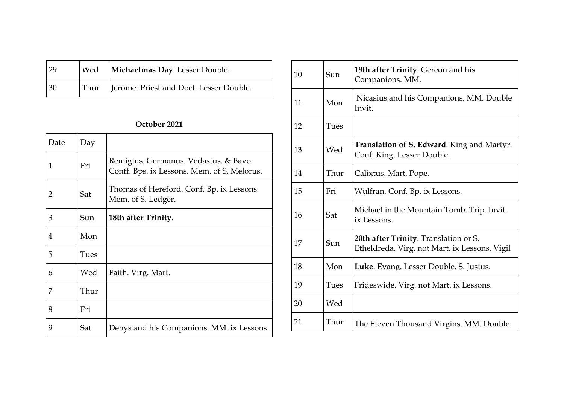| 29 | Wed   Michaelmas Day. Lesser Double.         |
|----|----------------------------------------------|
| 30 | Thur Jerome. Priest and Doct. Lesser Double. |

### **October 2021**

| Date | Day  |                                                                                      |
|------|------|--------------------------------------------------------------------------------------|
| 1    | Fri  | Remigius. Germanus. Vedastus. & Bavo.<br>Conff. Bps. ix Lessons. Mem. of S. Melorus. |
| 2    | Sat  | Thomas of Hereford. Conf. Bp. ix Lessons.<br>Mem. of S. Ledger.                      |
| 3    | Sun  | 18th after Trinity.                                                                  |
| 4    | Mon  |                                                                                      |
| 5    | Tues |                                                                                      |
| 6    | Wed  | Faith. Virg. Mart.                                                                   |
| 7    | Thur |                                                                                      |
| 8    | Fri  |                                                                                      |
| 9    | Sat  | Denys and his Companions. MM. ix Lessons.                                            |

| 10 | Sun  | 19th after Trinity. Gereon and his<br>Companions. MM.                                         |
|----|------|-----------------------------------------------------------------------------------------------|
| 11 | Mon  | Nicasius and his Companions. MM. Double<br>Invit.                                             |
| 12 | Tues |                                                                                               |
| 13 | Wed  | <b>Translation of S. Edward.</b> King and Martyr.<br>Conf. King. Lesser Double.               |
| 14 | Thur | Calixtus. Mart. Pope.                                                                         |
| 15 | Fri  | Wulfran. Conf. Bp. ix Lessons.                                                                |
| 16 | Sat  | Michael in the Mountain Tomb. Trip. Invit.<br>ix Lessons.                                     |
| 17 | Sun  | <b>20th after Trinity.</b> Translation or S.<br>Etheldreda. Virg. not Mart. ix Lessons. Vigil |
| 18 | Mon  | Luke. Evang. Lesser Double. S. Justus.                                                        |
| 19 | Tues | Frideswide. Virg. not Mart. ix Lessons.                                                       |
| 20 | Wed  |                                                                                               |
| 21 | Thur | The Eleven Thousand Virgins. MM. Double                                                       |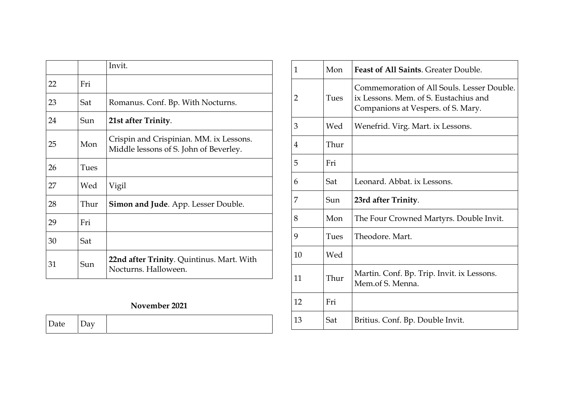|    |      | Invit.                                                                            |
|----|------|-----------------------------------------------------------------------------------|
| 22 | Fri  |                                                                                   |
| 23 | Sat  | Romanus. Conf. Bp. With Nocturns.                                                 |
| 24 | Sun  | 21st after Trinity.                                                               |
| 25 | Mon  | Crispin and Crispinian. MM. ix Lessons.<br>Middle lessons of S. John of Beverley. |
| 26 | Tues |                                                                                   |
| 27 | Wed  | Vigil                                                                             |
| 28 | Thur | <b>Simon and Jude.</b> App. Lesser Double.                                        |
| 29 | Fri  |                                                                                   |
| 30 | Sat  |                                                                                   |
| 31 | Sun  | 22nd after Trinity. Quintinus. Mart. With<br>Nocturns. Halloween.                 |

#### **November 2021**

| $- -$<br>$\sim$ $\alpha$ |
|--------------------------|
|--------------------------|

| 1  | Mon  | <b>Feast of All Saints. Greater Double.</b>                                                                               |
|----|------|---------------------------------------------------------------------------------------------------------------------------|
| 2  | Tues | Commemoration of All Souls. Lesser Double.<br>ix Lessons. Mem. of S. Eustachius and<br>Companions at Vespers. of S. Mary. |
| 3  | Wed  | Wenefrid. Virg. Mart. ix Lessons.                                                                                         |
| 4  | Thur |                                                                                                                           |
| 5  | Fri  |                                                                                                                           |
| 6  | Sat  | Leonard. Abbat. ix Lessons.                                                                                               |
| 7  | Sun  | 23rd after Trinity.                                                                                                       |
| 8  | Mon  | The Four Crowned Martyrs. Double Invit.                                                                                   |
| 9  | Tues | Theodore, Mart.                                                                                                           |
| 10 | Wed  |                                                                                                                           |
| 11 | Thur | Martin. Conf. Bp. Trip. Invit. ix Lessons.<br>Mem.of S. Menna.                                                            |
| 12 | Fri  |                                                                                                                           |
| 13 | Sat  | Britius. Conf. Bp. Double Invit.                                                                                          |
|    |      |                                                                                                                           |